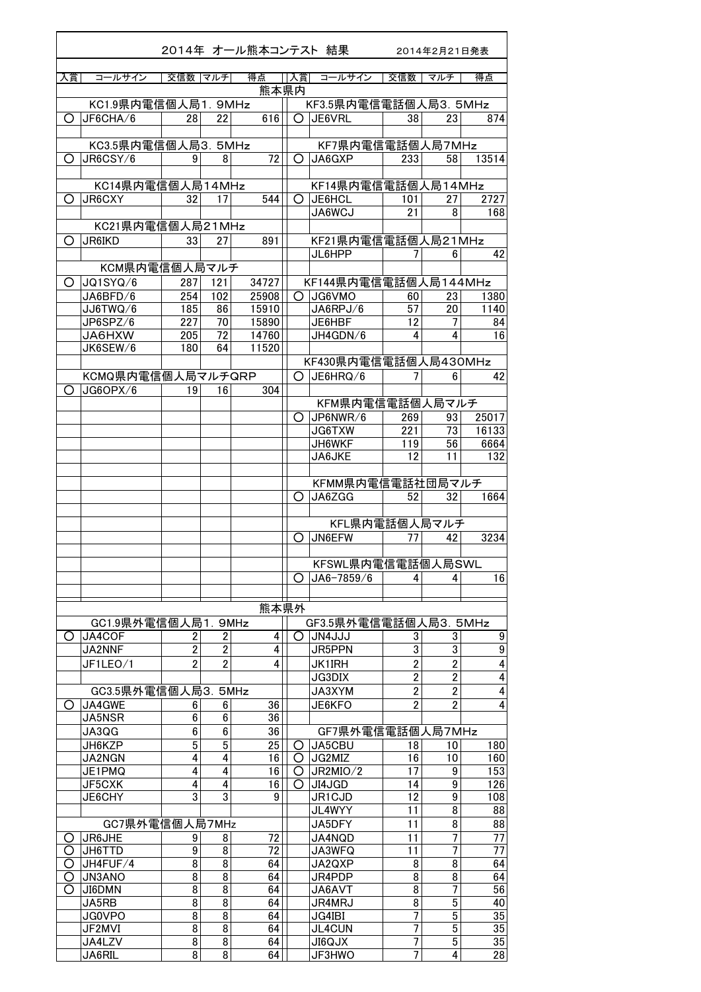|        |                            |                |                              | 2014年 オール熊本コンテスト 結果 |        |                              |                                  | 2014年2月21日発表                     |               |
|--------|----------------------------|----------------|------------------------------|---------------------|--------|------------------------------|----------------------------------|----------------------------------|---------------|
|        |                            |                |                              |                     |        |                              |                                  |                                  |               |
| 入賞     | コールサイン                     | 交信数 マルチ        |                              | 得点                  | 入賞     | コールサイン                       | 交信数                              | マルチ                              | 得点            |
|        | KC1.9県内電信個人局1.9MHz         |                |                              | 熊本県内                |        | KF3.5県内電信電話個人局3. 5MHz        |                                  |                                  |               |
| Ω      | JF6CHA/6                   | 28             | 22                           | 616                 |        | O JE6VRL                     | 38                               | 23                               | 874           |
|        |                            |                |                              |                     |        |                              |                                  |                                  |               |
|        | KC3.5県内電信個人局3. 5MHz        |                |                              |                     |        | KF7県内電信電話個人局7MHz             |                                  |                                  |               |
| Ő      | JR6CSY/6                   | 9              | 8                            | 72                  | O      | JA6GXP                       | 233                              | 58                               | 13514         |
|        |                            |                |                              |                     |        |                              |                                  |                                  |               |
| O      | KC14県内電信個人局14MHz<br>JR6CXY | 32             | 17                           | 544                 | O      | KF14県内電信電話個人局14MHz<br>JE6HCL | 101                              |                                  | 2727          |
|        |                            |                |                              |                     |        | JA6WCJ                       | 21                               | 27<br>8                          | 168           |
|        | KC21県内電信個人局21MHz           |                |                              |                     |        |                              |                                  |                                  |               |
| O      | JR6IKD                     | 33             | 27                           | 891                 |        | KF21県内電信電話個人局21MHz           |                                  |                                  |               |
|        |                            |                |                              |                     |        | JL6HPP                       | 7                                | 6                                | 42            |
|        | KCM県内電信個人局マルチ              |                |                              |                     |        |                              |                                  |                                  |               |
| O      | JQ1SYQ/6                   | 287            | 121                          | 34727               |        | KF144県内電信電話個人局144MHz         |                                  |                                  |               |
|        | JA6BFD/6                   | 254            | 102                          | 25908               | O      | JG6VMO                       | 60                               | 23                               | 1380          |
|        | JJ6TWQ/6<br>JP6SPZ/6       | 185<br>227     | 86<br>70                     | 15910<br>15890      |        | JA6RPJ/6                     | 57<br>12                         | 20                               | 1140          |
|        | <b>JA6HXW</b>              | 205            | 72                           | 14760               |        | JE6HBF<br>JH4GDN/6           | 4                                | 7<br>4                           | 84<br>16      |
|        | JK6SEW/6                   | 180            | 64                           | 11520               |        |                              |                                  |                                  |               |
|        |                            |                |                              |                     |        | KF430県内電信電話個人局430MHz         |                                  |                                  |               |
|        | KCMQ県内電信個人局マルチQRP          |                |                              |                     |        | $O$ JE6HRQ/6                 | 7                                | 6                                | 42            |
| O      | JG6OPX/6                   | 19             | 16                           | 304                 |        |                              |                                  |                                  |               |
|        |                            |                |                              |                     |        | KFM県内電信電話個人局マルチ              |                                  |                                  |               |
|        |                            |                |                              |                     | O      | JP6NWR/6                     | 269                              | 93                               | 25017         |
|        |                            |                |                              |                     |        | JG6TXW<br>JH6WKF             | 221<br>119                       | 73<br>56                         | 16133<br>6664 |
|        |                            |                |                              |                     |        | JA6JKE                       | 12                               | 11                               | 132           |
|        |                            |                |                              |                     |        |                              |                                  |                                  |               |
|        |                            |                |                              |                     |        | KFMM県内電信電話社団局マルチ             |                                  |                                  |               |
|        |                            |                |                              |                     | O      | JA6ZGG                       | 52                               | 32                               | 1664          |
|        |                            |                |                              |                     |        |                              |                                  |                                  |               |
|        |                            |                |                              |                     |        | KFL県内電話個人局マルチ                |                                  |                                  |               |
|        |                            |                |                              |                     | Ő      | JN6EFW                       | 77                               | 42                               | 3234          |
|        |                            |                |                              |                     |        | KFSWL県内電信電話個人局SWL            |                                  |                                  |               |
|        |                            |                |                              |                     | Ō      | $J$ A6-7859/6                | 4                                | 4                                | 16            |
|        |                            |                |                              |                     |        |                              |                                  |                                  |               |
|        |                            |                |                              | 熊本県外                |        |                              |                                  |                                  |               |
|        | GC1.9県外電信個人局1.9MHz         |                |                              |                     |        | GF3.5県外電信電話個人局3. 5MHz        |                                  |                                  |               |
| Ő      | JA4COF                     | 2              | $\overline{\mathbf{2}}$      | 4                   | O      | JN4JJJ                       | 3                                | 3                                | 9             |
|        | JA2NNF                     | $\overline{2}$ | $\overline{2}$               | $\overline{4}$      |        | JR5PPN                       | 3                                | $\overline{3}$                   | 9             |
|        | JF1LEO/1                   | $\overline{2}$ | $\overline{2}$               | 4                   |        | <b>JK1IRH</b>                | $\overline{2}$<br>$\overline{2}$ | $\overline{2}$<br>$\overline{2}$ | 4             |
|        | GC3.5県外電信個人局3. 5MHz        |                |                              |                     |        | JG3DIX<br>JA3XYM             | $\overline{2}$                   | $\overline{2}$                   | 4<br>4        |
| O      | JA4GWE                     | 6              | 6                            | 36                  |        | JE6KFO                       | $\overline{2}$                   | $\overline{2}$                   | 4             |
|        | JA5NSR                     | 6              | 6                            | 36                  |        |                              |                                  |                                  |               |
|        | JA3QG                      | 6              | 6                            | 36                  |        | GF7県外電信電話個人局7MHz             |                                  |                                  |               |
|        | JH6KZP                     | 5              | $\overline{5}$               | 25                  | Ő      | JA5CBU                       | 18                               | 10                               | 180           |
|        | <b>JA2NGN</b>              | 4              | 4                            | 16                  | O      | JG2MIZ                       | 16                               | 10                               | 160           |
|        | JE1PMQ<br>JF5CXK           | 4<br>4         | $\overline{\mathbf{4}}$<br>4 | 16<br>16            | O<br>Ω | JR2MIO/2<br>JI4JGD           | 17<br>14                         | 9<br>9                           | 153<br>126    |
|        | JE6CHY                     | 3              | 3                            | 9                   |        | JR1CJD                       | 12                               | 9                                | 108           |
|        |                            |                |                              |                     |        | JL4WYY                       | 11                               | 8                                | 88            |
|        | GC7県外電信個人局7MHz             |                |                              |                     |        | JA5DFY                       | 11                               | 8                                | 88            |
| O      | JR6JHE                     | 9              | 8                            | 72                  |        | JA4NQD                       | 11                               | 7                                | 77            |
| O      | JH6TTD                     | 9              | 8                            | 72                  |        | JA3WFQ                       | 11                               | 7                                | 77            |
| O      | JH4FUF/4                   | 8<br>8         | 8<br>8                       | 64                  |        | JA2QXP                       | 8<br>8                           | 8<br>8                           | 64            |
| O<br>Ω | JN3ANO<br>JI6DMN           | 8              | 8                            | 64<br>64            |        | JR4PDP<br>JA6AVT             | $\overline{8}$                   | $\overline{7}$                   | 64<br>56      |
|        | JA5RB                      | 8              | 8                            | 64                  |        | <b>JR4MRJ</b>                | 8                                | $\overline{5}$                   | 40            |
|        | JG0VPO                     | 8              | 8                            | 64                  |        | JG4IBI                       | $\overline{1}$                   | 5                                | 35            |
|        | JF2MVI                     | 8              | 8                            | 64                  |        | JL4CUN                       | 7                                | 5                                | 35            |
|        | JA4LZV                     | 8              | 8                            | 64                  |        | <b>XLQ0IL</b>                | 7                                | 5                                | 35            |
|        | JA6RIL                     | $\overline{8}$ | $\overline{8}$               | 64                  |        | JF3HWO                       | $\overline{7}$                   | $\overline{4}$                   | 28            |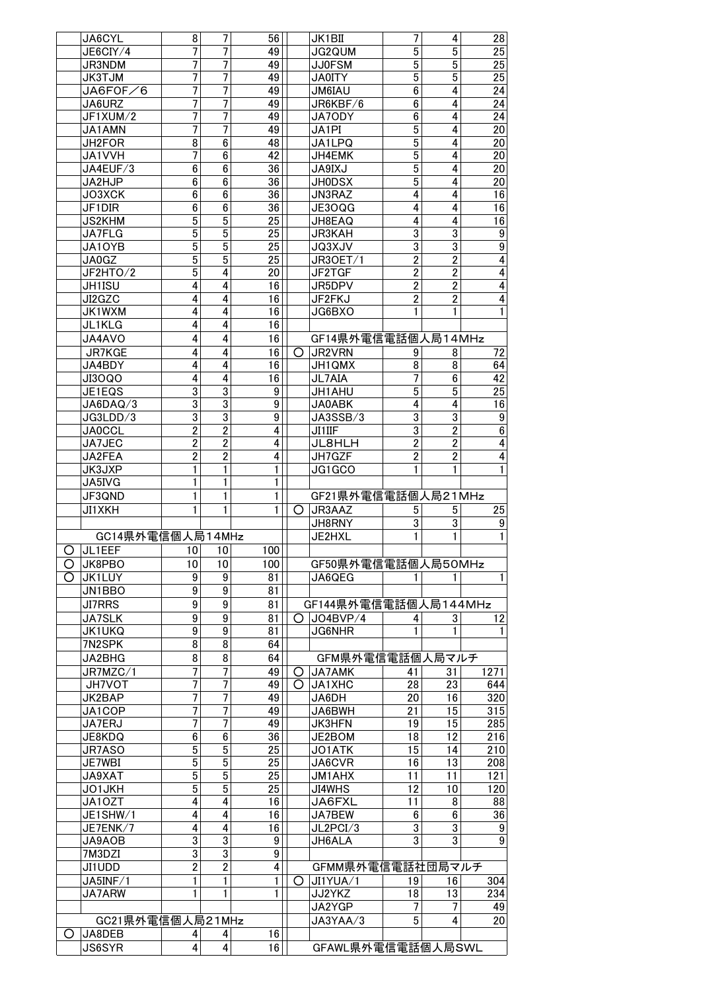|   | JA6CYL                  | 8                                         | 7                                | 56               |   | JK1BII               | 7                   | 4                                | 28                                  |
|---|-------------------------|-------------------------------------------|----------------------------------|------------------|---|----------------------|---------------------|----------------------------------|-------------------------------------|
|   | JE6CIY/4                | 7                                         | 7                                | 49               |   | JG2QUM               | 5                   | $\overline{5}$                   | $\overline{25}$                     |
|   | JR3NDM                  | 7                                         | $\overline{1}$                   | 49               |   | <b>JJ0FSM</b>        | 5                   | 5                                | 25                                  |
|   | <b>JK3TJM</b>           | 7                                         | 7                                | 49               |   | <b>JA0ITY</b>        | 5                   | $\overline{5}$                   | 25                                  |
|   | JA6FOF/6                | 7                                         | 7                                | 49               |   | <b>JM6IAU</b>        | 6                   | 4                                | 24                                  |
|   | JA6URZ<br>JF1XUM/2      | 7                                         | 7<br>7                           | 49<br>49         |   | JR6KBF/6<br>JA70DY   | 6<br>$\bf 6$        | 4<br>4                           | 24<br>24                            |
|   | JA1AMN                  | 7<br>7                                    | 7                                | 49               |   | JA1PI                | $\overline{5}$      | 4                                | 20                                  |
|   | JH2FOR                  | $\overline{8}$                            | $\overline{6}$                   | 48               |   | JA1LPQ               | $\overline{5}$      | 4                                | $\overline{20}$                     |
|   | JA1VVH                  | 7                                         | $6\phantom{a}$                   | 42               |   | JH4EMK               | $\overline{5}$      | 4                                | 20                                  |
|   | JA4EUF/3                | 6                                         | $\bf 6$                          | 36               |   | <b>JA9IXJ</b>        | 5                   | 4                                | $\overline{20}$                     |
|   | JA2HJP                  | 6                                         | $\bf 6$                          | 36               |   | <b>JH0DSX</b>        | $\overline{5}$      | 4                                | 20                                  |
|   | JO3XCK                  | 6                                         | $\overline{6}$                   | 36               |   | JN3RAZ               | $\overline{4}$      | 4                                | 16                                  |
|   | JF1DIR                  | 6                                         | $6\phantom{a}$                   | 36               |   | JE3OQG               | 4                   | 4                                | 16                                  |
|   | <b>JS2KHM</b>           | $\overline{5}$                            | $\overline{5}$                   | 25               |   | JH8EAQ               | 4                   | 4                                | 16                                  |
|   | JA7FLG                  | 5                                         | $\overline{5}$                   | 25               |   | JR3KAH               | $\overline{3}$      | $\overline{3}$                   | $\boldsymbol{9}$                    |
|   | JA10YB                  | 5                                         | $\overline{5}$                   | 25               |   | JQ3XJV               | $\overline{3}$      | $\overline{3}$                   | $\overline{9}$                      |
|   | JA0GZ                   | 5                                         | 5                                | 25               |   | JR3OET/1             | $\overline{2}$      | $\overline{2}$                   | $\overline{4}$                      |
|   | JF2HTO/2                | 5                                         | 4                                | 20               |   | JF2TGF               | $\overline{2}$      | $\overline{2}$                   | $\overline{4}$                      |
|   | JH1ISU                  | 4                                         | $\overline{4}$                   | 16               |   | JR5DPV               | $\overline{2}$      | $\overline{2}$                   | $\overline{4}$                      |
|   | JI2GZC                  | 4                                         | 4                                | 16               |   | JF2FKJ               | $\overline{2}$      | $\overline{2}$                   | $\overline{4}$                      |
|   | JK1WXM                  | 4                                         | 4                                | 16               |   | JG6BXO               | 1                   | 1                                | 1                                   |
|   | JL1KLG                  | 4                                         | 4                                | 16               |   |                      |                     |                                  |                                     |
|   | JA4AVO                  | 4                                         | 4                                | 16               |   | GF14県外電信電話個人局14MHz   |                     |                                  |                                     |
|   | <b>JR7KGE</b>           | 4                                         | 4                                | 16               | O | JR2VRN               | 9                   | 8                                | 72                                  |
|   | JA4BDY                  | 4                                         | 4                                | 16               |   | JH1QMX               | 8                   | 8                                | 64                                  |
|   | JI3OQO                  | 4                                         | 4                                | 16               |   | JL7AIA               | 7                   | 6                                | 42                                  |
|   | JE1EQS                  | $\overline{3}$                            | $\overline{3}$                   | 9                |   | JH1AHU               | 5                   | $\overline{5}$                   | 25                                  |
|   | JA6DAQ/3                | $\overline{3}$                            | $\overline{3}$                   | $\boldsymbol{9}$ |   | JA0ABK               | $\overline{4}$      | $\overline{4}$                   | $\overline{16}$                     |
|   | JG3LDD/3                | $\overline{3}$                            | $\overline{3}$                   | $\boldsymbol{9}$ |   | JA3SSB/3             | 3                   | $\overline{3}$                   | 9                                   |
|   | <b>JA0CCL</b><br>JA7JEC | $\overline{\mathbf{2}}$<br>$\overline{2}$ | $\overline{2}$<br>$\overline{2}$ | 4<br>4           |   | JI1IIF<br>JL8HLH     | 3<br>$\overline{2}$ | $\overline{2}$<br>$\overline{2}$ | $6\vert$<br>$\overline{\mathbf{r}}$ |
|   | JA2FEA                  | $\overline{2}$                            | $\overline{2}$                   | 4                |   | JH7GZF               | $\overline{2}$      | $\overline{2}$                   | $\overline{4}$                      |
|   | JK3JXP                  | 1                                         | 1                                | 1                |   | JG1GCO               | 1                   | 1                                | $\mathbf{1}$                        |
|   | JA5IVG                  | 1                                         | 1                                | 1                |   |                      |                     |                                  |                                     |
|   | JF3QND                  | 1                                         | 1                                | 1                |   | GF21県外電信電話個人局21MHz   |                     |                                  |                                     |
|   | <b>JI1XKH</b>           | 1                                         | 1                                | $\mathbf{1}$     | O | JR3AAZ               | 5                   | 5                                | 25                                  |
|   |                         |                                           |                                  |                  |   | JH8RNY               | 3                   | 3                                | $\boldsymbol{9}$                    |
|   | GC14県外電信個人局14MHz        |                                           |                                  |                  |   | JE2HXL               | 1                   | $\mathbf{1}$                     | 1                                   |
| O | JL1EEF                  | 10                                        | 10                               | 100              |   |                      |                     |                                  |                                     |
| O | JK8PBO                  | 10                                        | 10                               | 100              |   | GF50県外電信電話個人局50MHz   |                     |                                  |                                     |
| Ω | JK1LUY                  | 9                                         | 9                                | 81               |   | JA6QEG               |                     |                                  | 1                                   |
|   | JN1BBO                  | 9                                         | 9                                | 81               |   |                      |                     |                                  |                                     |
|   | <b>JI7RRS</b>           | 9                                         | 9                                | 81               |   | GF144県外電信電話個人局144MHz |                     |                                  |                                     |
|   | <b>JA7SLK</b>           | 9                                         | 9                                | 81               | O | JO4BVP/4             | 4                   | 3                                | 12                                  |
|   | <b>JK1UKQ</b>           | 9                                         | $\boldsymbol{9}$                 | 81               |   | JG6NHR               | 1                   | 1                                |                                     |
|   | 7N2SPK                  | 8                                         | 8                                | 64               |   |                      |                     |                                  |                                     |
|   | JA2BHG                  | 8                                         | 8                                | 64               |   | GFM県外電信電話個人局マルチ      |                     |                                  |                                     |
|   | JR7MZC/1                | 7                                         | $\overline{7}$                   | 49               | Ő | <b>JA7AMK</b>        | 41                  | 31                               | 1271                                |
|   | JH7VOT                  | 7                                         | 7                                | 49               | O | JA1XHC               | 28                  | 23                               | 644                                 |
|   | JK2BAP                  | 7                                         | 7                                | 49               |   | JA6DH                | 20                  | 16                               | 320                                 |
|   | JA1COP                  | 7                                         | 7                                | 49               |   | JA6BWH               | 21                  | 15                               | 315                                 |
|   | JA7ERJ                  | 7                                         | 7                                | 49               |   | <b>JK3HFN</b>        | 19                  | 15                               | 285                                 |
|   | JE8KDQ                  | 6                                         | $\boldsymbol{6}$                 | 36               |   | JE2BOM               | 18                  | 12                               | 216                                 |
|   | JR7ASO                  | $\overline{5}$                            | $\overline{5}$                   | 25               |   | JO1ATK               | 15                  | 14                               | 210                                 |
|   | JE7WBI                  |                                           | $\overline{5}$                   | 25               |   | JA6CVR               | 16                  | 13                               | 208                                 |
|   |                         | 5                                         |                                  |                  |   |                      |                     |                                  |                                     |
|   | JA9XAT                  | $\overline{5}$                            | $\overline{5}$                   | 25               |   | JM1AHX               | 11                  | 11                               | 121                                 |
|   | JO1JKH                  | $\overline{5}$                            | $\overline{5}$                   | 25               |   | <b>JI4WHS</b>        | 12                  | 10                               | 120                                 |
|   | JA10ZT                  | $\overline{\mathbf{4}}$                   | $\overline{\mathbf{4}}$          | 16               |   | JA6FXL               | 11                  | 8                                | 88                                  |
|   | JE1SHW/1                | 4                                         | 4                                | 16               |   | JA7BEW               | 6                   | 6                                | 36                                  |
|   | JE7ENK/7                | 4                                         | 4                                | 16               |   | JL2PCI/3             | 3                   | 3                                | $\boldsymbol{9}$                    |
|   | JA9AOB                  | $\overline{3}$                            | $\overline{3}$                   | 9 <sup>°</sup>   |   | JH6ALA               | $\overline{3}$      | $\overline{3}$                   | $\overline{9}$                      |
|   | 7M3DZI                  | 3                                         | 3                                | 9 <sup>°</sup>   |   |                      |                     |                                  |                                     |
|   | JI1UDD                  | $\overline{2}$                            | $\overline{2}$                   | 4                |   | GFMM県外電信電話社団局マルチ     |                     |                                  |                                     |
|   | JA5INF/1                | 1                                         | 1                                | 1                | Ő | JI1YUA/1             | 19                  | 16                               | 304                                 |
|   | JA7ARW                  | 1                                         | 1                                | 1                |   | JJ2YKZ               | 18                  | 13                               | 234                                 |
|   |                         |                                           |                                  |                  |   | JA2YGP               | 7                   |                                  | 49                                  |
|   | GC21県外電信個人局21MHz        |                                           |                                  |                  |   | JA3YAA/3             | 5                   | 4                                | 20                                  |
| O | JA8DEB<br><b>JS6SYR</b> | 4<br>4                                    | 4<br>4                           | 16<br>16         |   | GFAWL県外電信電話個人局SWL    |                     |                                  |                                     |